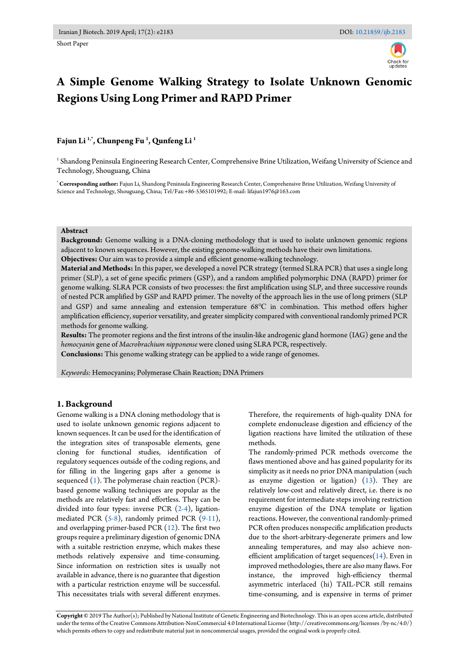

# **A Simple Genome Walking Strategy to Isolate Unknown Genomic Regions Using Long Primer and RAPD Primer**

# **Fajun Li 1,\*, Chunpeng Fu <sup>1</sup> , Qunfeng Li <sup>1</sup>**

1 Shandong Peninsula Engineering Research Center, Comprehensive Brine Utilization, Weifang University of Science and Technology, Shouguang, China

**\* Corresponding author:** Fajun Li, Shandong Peninsula Engineering Research Center, Comprehensive Brine Utilization, Weifang University of Science and Technology, Shouguang, China; Tel/Fax:+86-5365101992; E-mail: lifajun1976@163.com

#### **Abstract**

**Background:** Genome walking is a DNA-cloning methodology that is used to isolate unknown genomic regions adjacent to known sequences. However, the existing genome-walking methods have their own limitations.

**Objectives:** Our aim was to provide a simple and efficient genome-walking technology.

**Material and Methods:** In this paper, we developed a novel PCR strategy (termed SLRA PCR) that uses a single long primer (SLP), a set of gene specific primers (GSP), and a random amplified polymorphic DNA (RAPD) primer for genome walking. SLRA PCR consists of two processes: the first amplification using SLP, and three successive rounds of nested PCR amplified by GSP and RAPD primer. The novelty of the approach lies in the use of long primers (SLP and GSP) and same annealing and extension temperature 68℃ in combination. This method offers higher amplification efficiency, superior versatility, and greater simplicity compared with conventional randomly primed PCR methods for genome walking.

**Results:** The promoter regions and the first introns of the insulin-like androgenic gland hormone (IAG) gene and the *hemocyanin* gene of *Macrobrachium nipponense* were cloned using SLRA PCR, respectively.

**Conclusions:** This genome walking strategy can be applied to a wide range of genomes.

*Keywords:* Hemocyanins; Polymerase Chain Reaction; DNA Primers

#### **1. Background**

Genome walking is a DNA cloning methodology that is used to isolate unknown genomic regions adjacent to known sequences. It can be used for the identification of the integration sites of transposable elements, gene cloning for functional studies, identification of regulatory sequences outside of the coding regions, and for filling in the lingering gaps after a genome is sequenced  $(1)$ . The polymerase chain reaction  $(PCR)$ based genome walking techniques are popular as the methods are relatively fast and effortless. They can be divided into four types: inverse PCR [\(2-4\)](#page-4-1), ligationmediated PCR [\(5-8\)](#page-4-2), randomly primed PCR [\(9-11\)](#page-4-3), and overlapping primer-based PCR  $(12)$ . The first two groups require a preliminary digestion of genomic DNA with a suitable restriction enzyme, which makes these methods relatively expensive and time-consuming. Since information on restriction sites is usually not available in advance, there is no guarantee that digestion with a particular restriction enzyme will be successful. This necessitates trials with several different enzymes.

Therefore, the requirements of high-quality DNA for complete endonuclease digestion and efficiency of the ligation reactions have limited the utilization of these methods.

The randomly-primed PCR methods overcome the flaws mentioned above and has gained popularity for its simplicity as it needs no prior DNA manipulation (such as enzyme digestion or ligation) [\(13\)](#page-4-5). They are relatively low-cost and relatively direct, i.e. there is no requirement for intermediate steps involving restriction enzyme digestion of the DNA template or ligation reactions. However, the conventional randomly-primed PCR often produces nonspecific amplification products due to the short-arbitrary-degenerate primers and low annealing temperatures, and may also achieve nonefficient amplification of target sequences $(14)$ . Even in improved methodologies, there are also many flaws. For instance, the improved high-efficiency thermal asymmetric interlaced (hi) TAIL-PCR still remains time-consuming, and is expensive in terms of primer

**Copyright ©** 2019 The Author(s); Published by National Institute of Genetic Engineering and Biotechnology. This is an open access article, distributed under the terms of the Creative Commons Attribution-NonCommercial 4.0 International License (http://creativecommons.org/licenses /by-nc/4.0/) which permits others to copy and redistribute material just in noncommercial usages, provided the original work is properly cited.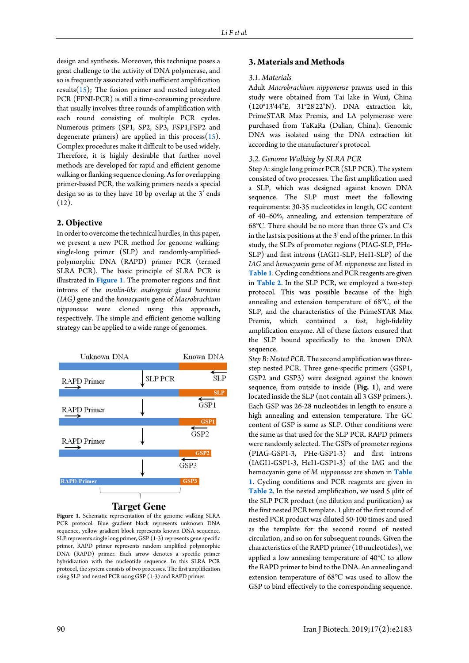design and synthesis. Moreover, this technique poses a great challenge to the activity of DNA polymerase, and so is frequently associated with inefficient amplification results $(15)$ ; The fusion primer and nested integrated PCR (FPNI-PCR) is still a time-consuming procedure that usually involves three rounds of amplification with each round consisting of multiple PCR cycles. Numerous primers (SP1, SP2, SP3, FSP1,FSP2 and degenerate primers) are applied in this process $(15)$ . Complex procedures make it difficult to be used widely. Therefore, it is highly desirable that further novel methods are developed for rapid and efficient genome walking or flanking sequence cloning. As for overlapping primer-based PCR, the walking primers needs a special design so as to they have 10 bp overlap at the 3' ends  $(12).$ 

## **2. Objective**

In order to overcome the technical hurdles, in this paper, we present a new PCR method for genome walking; single-long primer (SLP) and randomly-amplifiedpolymorphic DNA (RAPD) primer PCR (termed SLRA PCR). The basic principle of SLRA PCR is illustrated in **[Figure 1](#page-1-0)**. The promoter regions and first introns of the *insulin-like androgenic gland hormone (IAG)* gene and the *hemocyanin* gene of *Macrobrachium nipponense* were cloned using this approach, respectively. The simple and efficient genome walking strategy can be applied to a wide range of genomes.

<span id="page-1-0"></span>

Figure 1. Schematic representation of the genome walking SLRA PCR protocol. Blue gradient block represents unknown DNA sequence, yellow gradient block represents known DNA sequence. SLP represents single long primer, GSP (1-3) represents gene specific primer, RAPD primer represents random amplified polymorphic DNA (RAPD) primer. Each arrow denotes a specific primer hybridization with the nucleotide sequence. In this SLRA PCR protocol, the system consists of two processes. The first amplification using SLP and nested PCR using GSP (1-3) and RAPD primer.

## **3. Materials and Methods**

#### *3.1. Materials*

Adult *Macrobrachium nipponense* prawns used in this study were obtained from Tai lake in Wuxi, China (120°13'44"E, 31°28'22"N). DNA extraction kit, PrimeSTAR Max Premix, and LA polymerase were purchased from TaKaRa (Dalian, China). Genomic DNA was isolated using the DNA extraction kit according to the manufacturer's protocol.

## *3.2. Genome Walking by SLRA PCR*

Step A:single long primer PCR (SLP PCR)*.* The system consisted of two processes. The first amplification used a SLP, which was designed against known DNA sequence. The SLP must meet the following requirements: 30-35 nucleotides in length, GC content of 40–60%, annealing, and extension temperature of 68℃. There should be no more than three G's and C's in the last six positions at the 3' end of the primer. In this study, the SLPs of promoter regions (PIAG-SLP, PHe-SLP) and first introns (IAGI1-SLP, HeI1-SLP) of the *IAG* and *hemocyanin* gene of *M. nipponense* are listed in **[Table 1](#page-2-0)**. Cycling conditions and PCR reagents are given in **[Table 2](#page-2-1)**. In the SLP PCR, we employed a two-step protocol. This was possible because of the high annealing and extension temperature of 68℃, of the SLP, and the characteristics of the PrimeSTAR Max Premix, which contained a fast, high-fidelity amplification enzyme. All of these factors ensured that the SLP bound specifically to the known DNA sequence.

*Step B: Nested PCR.*The second amplification was threestep nested PCR. Three gene-specific primers (GSP1, GSP2 and GSP3) were designed against the known sequence, from outside to inside (**Fig. 1**), and were located inside the SLP (not contain all 3 GSP primers.). Each GSP was 26-28 nucleotides in length to ensure a high annealing and extension temperature. The GC content of GSP is same as SLP. Other conditions were the same as that used for the SLP PCR. RAPD primers were randomly selected. The GSPs of promoter regions (PIAG-GSP1-3, PHe-GSP1-3) and first introns (IAGI1-GSP1-3, HeI1-GSP1-3) of the IAG and the hemocyanin gene of *M. nipponense* are shown in **[Table](#page-2-0)  [1](#page-2-0)**. Cycling conditions and PCR reagents are given in [Table 2](#page-2-1). In the nested amplification, we used 5 µlitr of the SLP PCR product (no dilution and purification) as the first nested PCR template. 1 µlitr of the first round of nested PCR product was diluted 50-100 times and used as the template for the second round of nested circulation, and so on for subsequent rounds. Given the characteristics of the RAPD primer (10 nucleotides), we applied a low annealing temperature of 40℃ to allow the RAPD primer to bind to the DNA. An annealing and extension temperature of 68℃ was used to allow the GSP to bind effectively to the corresponding sequence.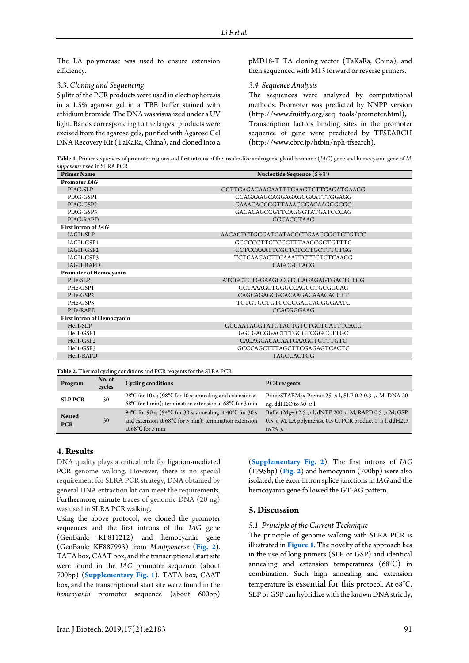The LA polymerase was used to ensure extension efficiency.

#### *3.3. Cloning and Sequencing*

5 µlitr of the PCR products were used in electrophoresis in a 1.5% agarose gel in a TBE buffer stained with ethidium bromide. The DNA was visualized under a UV light. Bands corresponding to the largest products were excised from the agarose gels, purified with Agarose Gel DNA Recovery Kit (TaKaRa, China), and cloned into a pMD18-T TA cloning vector (TaKaRa, China), and then sequenced with M13 forward or reverse primers.

#### *3.4. Sequence Analysis*

<span id="page-2-0"></span>The sequences were analyzed by computational methods. Promoter was predicted by NNPP version (http://www.fruitfly.org/seq\_tools/promoter.html), Transcription factors binding sites in the promoter sequence of gene were predicted by TFSEARCH (http://www.cbrc.jp/htbin/nph-tfsearch).

**Table 1.** Primer sequences of promoter regions and first introns of the insulin-like androgenic gland hormone (*IAG*) gene and hemocyanin gene of *M. nipponense* used in SLRA PCR

| <b>Primer Name</b>                | Nucleotide Sequence $(5\rightarrow 3')$ |  |  |
|-----------------------------------|-----------------------------------------|--|--|
| Promoter IAG                      |                                         |  |  |
| PIAG-SLP                          | CCTTGAGAGAAGAATTTGAAGTCTTGAGATGAAGG     |  |  |
| PIAG-GSP1                         | CCAGAAAGCAGGAGAGCGAATTTGGAGG            |  |  |
| PIAG-GSP2                         | GAAACACCGGTTAAACGGACAAGGGGGC            |  |  |
| PIAG-GSP3                         | GACACAGCCGTTCAGGGTATGATCCCAG            |  |  |
| PIAG-RAPD                         | GGCACGTAAG                              |  |  |
| First intron of IAG               |                                         |  |  |
| <b>IAGI1-SLP</b>                  | AAGACTCTGGGATCATACCCTGAACGGCTGTGTCC     |  |  |
| IAGI1-GSP1                        | GCCCCCTTGTCCGTTTAACCGGTGTTTC            |  |  |
| IAGI1-GSP2                        | CCTCCAAATTCGCTCTCCTGCTTTCTGG            |  |  |
| IAGI1-GSP3                        | TCTCAAGACTTCAAATTCTTCTCTCAAGG           |  |  |
| <b>IAGI1-RAPD</b>                 | CAGCGCTACG                              |  |  |
| <b>Promoter of Hemocyanin</b>     |                                         |  |  |
| PHe-SLP                           | ATCGCTCTGGAAGCCGTCCAGAGAGTGACTCTCG      |  |  |
| PHe-GSP1                          | GCTAAAGCTGGGCCAGGCTGCGGCAG              |  |  |
| PHe-GSP2                          | CAGCAGAGCGCACAAGACAAACACCTT             |  |  |
| PHe-GSP3                          | TGTGTGCTGTGCCGGACCAGGGGAATC             |  |  |
| PHe-RAPD                          | <b>CCACGGGAAG</b>                       |  |  |
| <b>First intron of Hemocyanin</b> |                                         |  |  |
| $HeI1-SLP$                        | GCCAATAGGTATGTAGTGTCTGCTGATTTCACG       |  |  |
| HeI1-GSP1                         | GGCGACGGACTTTGCCTCGGCCTTGC              |  |  |
| HeI1-GSP2                         | CACAGCACACAATGAAGGTGTTTGTC              |  |  |
| HeI1-GSP3                         | GCCCAGCTTTAGCTTCGAGAGTCACTC             |  |  |
| HeI1-RAPD                         | <b>TAGCCACTGG</b>                       |  |  |

<span id="page-2-1"></span>**Table 2.** Thermal cycling conditions and PCR reagents for the SLRA PCR

| Program                     | No. of<br>cycles | <b>Cycling conditions</b>                                                                                                                                        | <b>PCR</b> reagents                                                                                                                                 |
|-----------------------------|------------------|------------------------------------------------------------------------------------------------------------------------------------------------------------------|-----------------------------------------------------------------------------------------------------------------------------------------------------|
| <b>SLP PCR</b>              | 30               | 98 $\degree$ C for 10 s; (98 $\degree$ C for 10 s; annealing and extension at<br>68 <sup>o</sup> C for 1 min); termination extension at $68^{\circ}$ C for 3 min | PrimeSTARMax Premix 25 $\,\mu$ l, SLP 0.2-0.3 $\,\mu$ M, DNA 20<br>ng, ddH2O to 50 $\mu$ l                                                          |
| <b>Nested</b><br><b>PCR</b> | 30               | 94°C for 90 s; (94°C for 30 s; annealing at 40°C for 30 s<br>and extension at $68^{\circ}$ C for 3 min); termination extension<br>at $68^{\circ}$ C for 5 min    | Buffer(Mg+) 2.5 $\mu$ l, dNTP 200 $\mu$ M, RAPD 0.5 $\mu$ M, GSP<br>0.5 $\mu$ M, LA polymerase 0.5 U, PCR product 1 $\mu$ l, ddH2O<br>to 25 $\mu$ l |

# **4. Results**

DNA quality plays a critical role for ligation-mediated PCR genome walking. However, there is no special requirement for SLRA PCR strategy, DNA obtained by general DNA extraction kit can meet the requirements. Furthermore, minute traces of genomic DNA (20 ng) was used in SLRA PCR walking.

Using the above protocol, we cloned the promoter sequences and the first introns of the *IA*G gene (GenBank: KF811212) and hemocyanin gene (GenBank: KF887993) from *M.nipponense* (**[Fig. 2](#page-3-0)**)*.* TATA box, CAAT box, and the transcriptional start site were found in the *IAG* promoter sequence (about 700bp) (**Supplementary Fig. 1**). TATA box, CAAT box, and the transcriptional start site were found in the *hemcoyanin* promoter sequence (about 600bp)

(**Supplementary Fig. 2**). The first introns of *IAG* (1795bp) (**[Fig. 2](#page-3-0)**) and hemocyanin (700bp) were also isolated, the exon-intron splice junctions in *IAG* and the hemcoyanin gene followed the GT-AG pattern.

# **5. Discussion**

#### *5.1. Principle of the Current Technique*

The principle of genome walking with SLRA PCR is illustrated in **[Figure 1](#page-1-0)**. The novelty of the approach lies in the use of long primers (SLP or GSP) and identical annealing and extension temperatures (68℃) in combination. Such high annealing and extension temperature is essential for this protocol. At 68℃, SLP or GSP can hybridize with the known DNA strictly,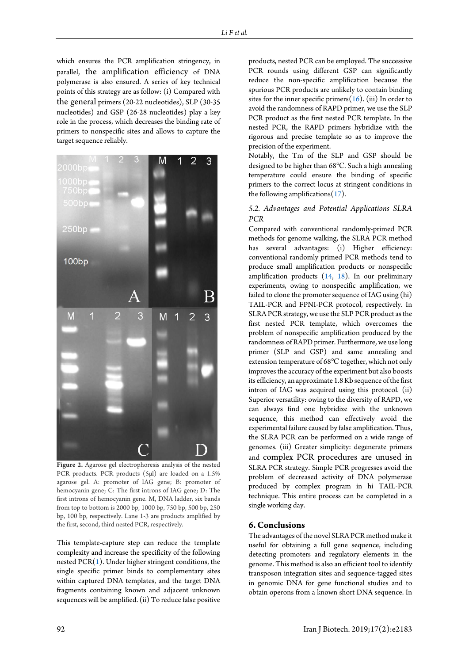which ensures the PCR amplification stringency, in parallel, the amplification efficiency of DNA polymerase is also ensured. A series of key technical points of this strategy are as follow: (i) Compared with the general primers (20-22 nucleotides), SLP (30-35 nucleotides) and GSP (26-28 nucleotides) play a key role in the process, which decreases the binding rate of primers to nonspecific sites and allows to capture the target sequence reliably.

<span id="page-3-0"></span>2 3 000br  $00<sub>0</sub>$  $250bp$ 100bp  $\overline{2}$ M 3 M.  $\overline{1}$  $\overline{2}$  $\overline{3}$ 

**Figure 2.** Agarose gel electrophoresis analysis of the nested PCR products. PCR products (5μl) are loaded on a 1.5% agarose gel. A: promoter of IAG gene; B: promoter of hemocyanin gene; C: The first introns of IAG gene; D: The first introns of hemocyanin gene. M, DNA ladder, six bands from top to bottom is 2000 bp, 1000 bp, 750 bp, 500 bp, 250 bp, 100 bp, respectively. Lane 1-3 are products amplified by the first, second, third nested PCR, respectively.

This template-capture step can reduce the template complexity and increase the specificity of the following nested  $PCR(1)$  $PCR(1)$ . Under higher stringent conditions, the single specific primer binds to complementary sites within captured DNA templates, and the target DNA fragments containing known and adjacent unknown sequences will be amplified. (ii) To reduce false positive

products, nested PCR can be employed. The successive PCR rounds using different GSP can significantly reduce the non-specific amplification because the spurious PCR products are unlikely to contain binding sites for the inner specific primers $(16)$ . (iii) In order to avoid the randomness of RAPD primer, we use the SLP PCR product as the first nested PCR template. In the nested PCR, the RAPD primers hybridize with the rigorous and precise template so as to improve the precision of the experiment.

Notably, the Tm of the SLP and GSP should be designed to be higher than 68℃. Such a high annealing temperature could ensure the binding of specific primers to the correct locus at stringent conditions in the following amplifications $(17)$ .

# *5.2. Advantages and Potential Applications SLRA PCR*

Compared with conventional randomly-primed PCR methods for genome walking, the SLRA PCR method has several advantages: (i) Higher efficiency: conventional randomly primed PCR methods tend to produce small amplification products or nonspecific amplification products  $(14, 18)$  $(14, 18)$ . In our preliminary experiments, owing to nonspecific amplification, we failed to clone the promoter sequence of IAG using (hi) TAIL-PCR and FPNI-PCR protocol, respectively. In SLRA PCR strategy, we use the SLP PCR product as the first nested PCR template, which overcomes the problem of nonspecific amplification produced by the randomness of RAPD primer. Furthermore, we use long primer (SLP and GSP) and same annealing and extension temperature of 68℃ together, which not only improves the accuracy of the experiment but also boosts its efficiency, an approximate 1.8 Kb sequence of the first intron of IAG was acquired using this protocol. (ii) Superior versatility: owing to the diversity of RAPD, we can always find one hybridize with the unknown sequence, this method can effectively avoid the experimental failure caused by false amplification. Thus, the SLRA PCR can be performed on a wide range of genomes. (iii) Greater simplicity: degenerate primers and complex PCR procedures are unused in SLRA PCR strategy. Simple PCR progresses avoid the problem of decreased activity of DNA polymerase produced by complex program in hi TAIL-PCR technique. This entire process can be completed in a single working day.

# **6. Conclusions**

The advantages of the novel SLRA PCR method make it useful for obtaining a full gene sequence, including detecting promoters and regulatory elements in the genome. This method is also an efficient tool to identify transposon integration sites and sequence-tagged sites in genomic DNA for gene functional studies and to obtain operons from a known short DNA sequence. In